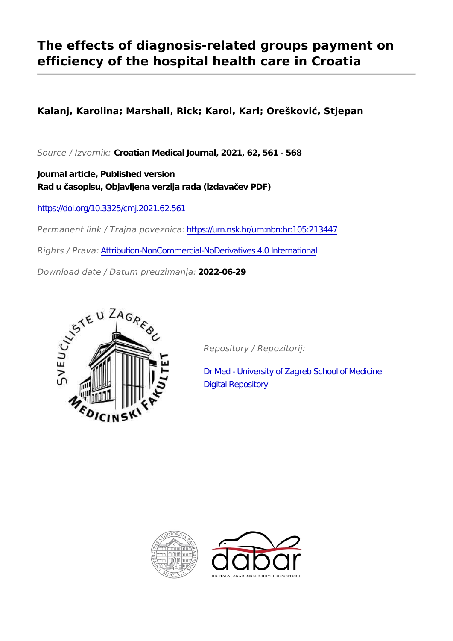## **The effects of diagnosis-related groups payment on efficiency of the hospital health care in Croatia**

**Kalanj, Karolina; Marshall, Rick; Karol, Karl; Orešković, Stjepan**

*Source / Izvornik:* **Croatian Medical Journal, 2021, 62, 561 - 568**

**Journal article, Published version Rad u časopisu, Objavljena verzija rada (izdavačev PDF)**

<https://doi.org/10.3325/cmj.2021.62.561>

*Permanent link / Trajna poveznica:* <https://urn.nsk.hr/urn:nbn:hr:105:213447>

*Rights / Prava:* [Attribution-NonCommercial-NoDerivatives 4.0 International](http://creativecommons.org/licenses/by-nc-nd/4.0/)

*Download date / Datum preuzimanja:* **2022-06-29**



*Repository / Repozitorij:*

[Dr Med - University of Zagreb School of Medicine](https://repozitorij.mef.unizg.hr) [Digital Repository](https://repozitorij.mef.unizg.hr)



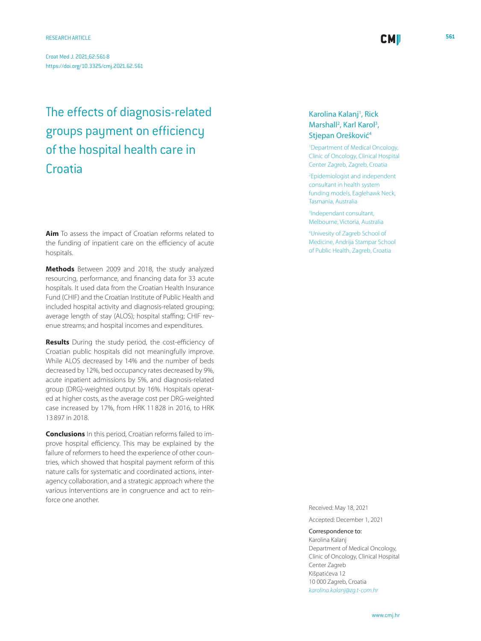# The effects of diagnosis-related groups payment on efficiency of the hospital health care in **Croatia**

**Aim** To assess the impact of Croatian reforms related to the funding of inpatient care on the efficiency of acute hospitals.

**Methods** Between 2009 and 2018, the study analyzed resourcing, performance, and financing data for 33 acute hospitals. It used data from the Croatian Health Insurance Fund (CHIF) and the Croatian Institute of Public Health and included hospital activity and diagnosis-related grouping; average length of stay (ALOS); hospital staffing; CHIF revenue streams; and hospital incomes and expenditures.

**Results** During the study period, the cost-efficiency of Croatian public hospitals did not meaningfully improve. While ALOS decreased by 14% and the number of beds decreased by 12%, bed occupancy rates decreased by 9%, acute inpatient admissions by 5%, and diagnosis-related group (DRG)-weighted output by 16%. Hospitals operated at higher costs, as the average cost per DRG-weighted case increased by 17%, from HRK 11 828 in 2016, to HRK 13 897 in 2018.

**Conclusions** In this period, Croatian reforms failed to improve hospital efficiency. This may be explained by the failure of reformers to heed the experience of other countries, which showed that hospital payment reform of this nature calls for systematic and coordinated actions, interagency collaboration, and a strategic approach where the various interventions are in congruence and act to reinforce one another.

## Karolina Kalanj<sup>1</sup>, Rick Marshall<sup>2</sup>, Karl Karol<sup>3</sup>, Stjepan Orešković<sup>4</sup>

1 Department of Medical Oncology, Clinic of Oncology, Clinical Hospital Center Zagreb, Zagreb, Croatia

**CMI** 

2 Epidemiologist and independent consultant in health system funding models, Eaglehawk Neck, Tasmania, Australia

3 Independant consultant, Melbourne, Victoria, Australia

4 Univesity of Zagreb School of Medicine, Andrija Stampar School of Public Health, Zagreb, Croatia

Received: May 18, 2021

Accepted: December 1, 2021

## Correspondence to:

Karolina Kalanj Department of Medical Oncology, Clinic of Oncology, Clinical Hospital Center Zagreb Kišpatićeva 12 10 000 Zagreb, Croatia *<karolina.kalanj@zg.t-com.hr>*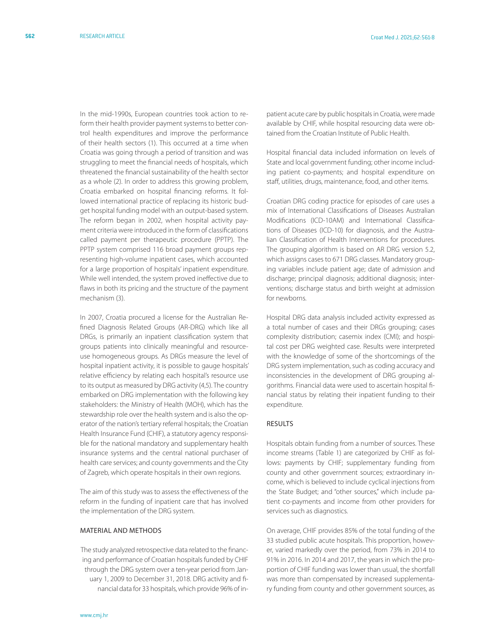In the mid-1990s, European countries took action to reform their health provider payment systems to better control health expenditures and improve the performance of their health sectors (1). This occurred at a time when Croatia was going through a period of transition and was struggling to meet the financial needs of hospitals, which threatened the financial sustainability of the health sector as a whole (2). In order to address this growing problem, Croatia embarked on hospital financing reforms. It followed international practice of replacing its historic budget hospital funding model with an output-based system. The reform began in 2002, when hospital activity payment criteria were introduced in the form of classifications called payment per therapeutic procedure (PPTP). The PPTP system comprised 116 broad payment groups representing high-volume inpatient cases, which accounted for a large proportion of hospitals' inpatient expenditure. While well intended, the system proved ineffective due to flaws in both its pricing and the structure of the payment mechanism (3).

In 2007, Croatia procured a license for the Australian Refined Diagnosis Related Groups (AR-DRG) which like all DRGs, is primarily an inpatient classification system that groups patients into clinically meaningful and resourceuse homogeneous groups. As DRGs measure the level of hospital inpatient activity, it is possible to gauge hospitals' relative efficiency by relating each hospital's resource use to its output as measured by DRG activity (4,5). The country embarked on DRG implementation with the following key stakeholders: the Ministry of Health (MOH), which has the stewardship role over the health system and is also the operator of the nation's tertiary referral hospitals; the Croatian Health Insurance Fund (CHIF), a statutory agency responsible for the national mandatory and supplementary health insurance systems and the central national purchaser of health care services; and county governments and the City of Zagreb, which operate hospitals in their own regions.

The aim of this study was to assess the effectiveness of the reform in the funding of inpatient care that has involved the implementation of the DRG system.

## MATERIAL AND METHODS

The study analyzed retrospective data related to the financing and performance of Croatian hospitals funded by CHIF through the DRG system over a ten-year period from January 1, 2009 to December 31, 2018. DRG activity and financial data for 33 hospitals, which provide 96% of inpatient acute care by public hospitals in Croatia, were made available by CHIF, while hospital resourcing data were obtained from the Croatian Institute of Public Health.

Hospital financial data included information on levels of State and local government funding; other income including patient co-payments; and hospital expenditure on staff, utilities, drugs, maintenance, food, and other items.

Croatian DRG coding practice for episodes of care uses a mix of International Classifications of Diseases Australian Modifications (ICD-10AM) and International Classifications of Diseases (ICD-10) for diagnosis, and the Australian Classification of Health Interventions for procedures. The grouping algorithm is based on AR DRG version 5.2, which assigns cases to 671 DRG classes. Mandatory grouping variables include patient age; date of admission and discharge; principal diagnosis; additional diagnosis; interventions; discharge status and birth weight at admission for newborns.

Hospital DRG data analysis included activity expressed as a total number of cases and their DRGs grouping; cases complexity distribution; casemix index (CMI); and hospital cost per DRG weighted case. Results were interpreted with the knowledge of some of the shortcomings of the DRG system implementation, such as coding accuracy and inconsistencies in the development of DRG grouping algorithms. Financial data were used to ascertain hospital financial status by relating their inpatient funding to their expenditure.

## RESULTS

Hospitals obtain funding from a number of sources. These income streams (Table 1) are categorized by CHIF as follows: payments by CHIF; supplementary funding from county and other government sources; extraordinary income, which is believed to include cyclical injections from the State Budget; and "other sources," which include patient co-payments and income from other providers for services such as diagnostics.

On average, CHIF provides 85% of the total funding of the 33 studied public acute hospitals. This proportion, however, varied markedly over the period, from 73% in 2014 to 91% in 2016. In 2014 and 2017, the years in which the proportion of CHIF funding was lower than usual, the shortfall was more than compensated by increased supplementary funding from county and other government sources, as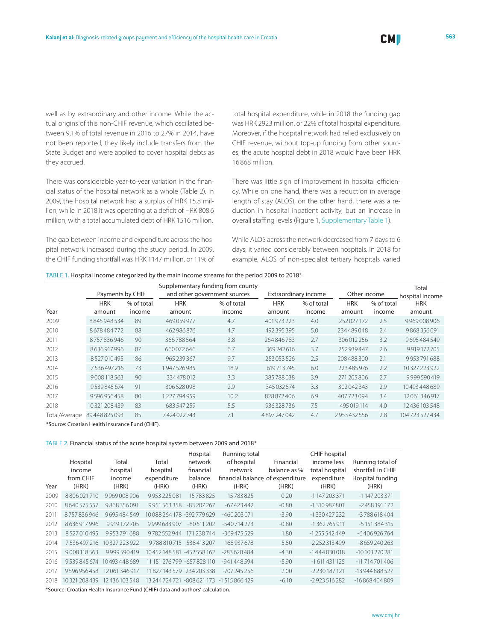well as by extraordinary and other income. While the actual origins of this non-CHIF revenue, which oscillated between 9.1% of total revenue in 2016 to 27% in 2014, have not been reported, they likely include transfers from the State Budget and were applied to cover hospital debts as they accrued.

There was considerable year-to-year variation in the financial status of the hospital network as a whole (Table 2). In 2009, the hospital network had a surplus of HRK 15.8 million, while in 2018 it was operating at a deficit of HRK 808.6 million, with a total accumulated debt of HRK 1516 million.

The gap between income and expenditure across the hospital network increased during the study period. In 2009, the CHIF funding shortfall was HRK 1147 million, or 11% of total hospital expenditure, while in 2018 the funding gap was HRK 2923 million, or 22% of total hospital expenditure. Moreover, if the hospital network had relied exclusively on CHIF revenue, without top-up funding from other sources, the acute hospital debt in 2018 would have been HRK 16 868 million.

There was little sign of improvement in hospital efficiency. While on one hand, there was a reduction in average length of stay (ALOS), on the other hand, there was a reduction in hospital inpatient activity, but an increase in overall staffing levels (Figure 1, [Supplementary Table 1](http://neuron.mefst.hr/docs/CMJ/issues/2021/62/6/kalanj_Supplementary_Table_1.pdf)).

While ALOS across the network decreased from 7 days to 6 days, it varied considerably between hospitals. In 2018 for example, ALOS of non-specialist tertiary hospitals varied

### Table 1. Hospital income categorized by the main income streams for the period 2009 to 2018\*

|               |                  |            |                              | Supplementary funding from county |                      |            |              |            | Total           |
|---------------|------------------|------------|------------------------------|-----------------------------------|----------------------|------------|--------------|------------|-----------------|
|               | Payments by CHIF |            | and other government sources |                                   | Extraordinary income |            | Other income |            | hospital Income |
|               | <b>HRK</b>       | % of total | <b>HRK</b>                   | % of total                        | <b>HRK</b>           | % of total | <b>HRK</b>   | % of total | <b>HRK</b>      |
| Year          | amount           | income     | amount                       | income                            | amount               | income     | amount       | income     | amount          |
| 2009          | 8845948534       | 89         | 469059977                    | 4.7                               | 401 973 223          | 4.0        | 252027172    | 2.5        | 9969008906      |
| 2010          | 8678484772       | 88         | 462986876                    | 4.7                               | 492 395 395          | 5.0        | 234489048    | 2.4        | 9868356091      |
| 2011          | 8757836946       | 90         | 366788564                    | 3.8                               | 264846783            | 2.7        | 306012256    | 3.2        | 9695484549      |
| 2012          | 8636917996       | 87         | 660072646                    | 6.7                               | 369242616            | 3.7        | 252939447    | 2.6        | 9919172705      |
| 2013          | 8527010495       | 86         | 965 239 367                  | 9.7                               | 253 053 526          | 2.5        | 208488300    | 2.1        | 9953791688      |
| 2014          | 7536497216       | 73         | 1947526985                   | 18.9                              | 619713745            | 6.0        | 223485976    | 2.2        | 10327223922     |
| 2015          | 9008118563       | 90         | 334478012                    | 3.3                               | 385788038            | 3.9        | 271 205 806  | 2.7        | 9999590419      |
| 2016          | 9539845674       | 91         | 306528098                    | 2.9                               | 345 032 574          | 3.3        | 302042343    | 2.9        | 10493448689     |
| 2017          | 9596956458       | 80         | 1227794959                   | 10.2                              | 828872406            | 6.9        | 407723094    | 3.4        | 12061346917     |
| 2018          | 10321208439      | 83         | 683547259                    | 5.5                               | 936328736            | 7.5        | 495 019 114  | 4.0        | 12436103548     |
| Total/Average | 89448825093      | 85         | 7424022743                   | 7.1                               | 4897247042           | 4.7        | 2953432556   | 2.8        | 104723527434    |

\*Source: Croatian Health Insurance Fund (CHIF).

#### Table 2. Financial status of the acute hospital system between 2009 and 2018\*

| Year | Hospital<br>income<br>from CHIF<br>(HRK) | Total<br>hospital<br>income<br>(HRK) | Total<br>hospital<br>expenditure<br>(HRK) | Hospital<br>network<br>financial<br>balance<br>(HRK) | Running total<br>of hospital<br>network<br>financial balance of expenditure<br>(HRK) | Financial<br>balance as %<br>(HRK) | <b>CHIF</b> hospital<br>income less<br>total hospital<br>expenditure<br>(HRK) | Running total of<br>shortfall in CHIF<br>Hospital funding<br>(HRK) |
|------|------------------------------------------|--------------------------------------|-------------------------------------------|------------------------------------------------------|--------------------------------------------------------------------------------------|------------------------------------|-------------------------------------------------------------------------------|--------------------------------------------------------------------|
| 2009 | 8806021710                               | 9969008906                           | 9953225081                                | 15783825                                             | 15783825                                                                             | 0.20                               | $-1147203371$                                                                 | $-1147203371$                                                      |
| 2010 | 8640575557                               | 9868356091                           | 9951563358                                | $-83207267$                                          | $-67423442$                                                                          | $-0.80$                            | -1310987801                                                                   | -2458191172                                                        |
| 2011 | 8757836946                               | 9695484549                           | 10088264178-392779629                     |                                                      | $-460203071$                                                                         | $-3.90$                            | -1330427232                                                                   | -3788618404                                                        |
| 2012 | 8636917996                               | 9919172705                           | 9999683907                                | $-80.511.202$                                        | $-540714773$                                                                         | $-0.80$                            | $-1362765911$                                                                 | $-5151384315$                                                      |
| 2013 | 8527010495                               | 9953791688                           | 9782552944                                | 171 238 744                                          | -369475529                                                                           | 1.80                               | $-1255542449$                                                                 | $-6406926764$                                                      |
| 2014 | 7536497216                               | 10327223922                          | 9788810715                                | 538413207                                            | 168937678                                                                            | 5.50                               | $-2252313499$                                                                 | -8659240263                                                        |
| 2015 | 9008118563                               | 9999590419                           | 10452148581-452558162                     |                                                      | $-283620484$                                                                         | $-4.30$                            | $-1444030018$                                                                 | -10 103 270 281                                                    |
| 2016 | 9539845674                               | 10493448689                          | 11 151 276 799 -657 828 110               |                                                      | -941 448 594                                                                         | $-5.90$                            | $-1611431125$                                                                 | $-11714701406$                                                     |
| 2017 | 9596956458                               | 12061346917                          | 11827143579234203338                      |                                                      | $-707245256$                                                                         | 2.00                               | $-2230187121$                                                                 | $-13944888527$                                                     |
| 2018 | 10321208439                              | 12436103548                          | 13 244 7 24 7 21                          | -808621173                                           | $-1.515866429$                                                                       | $-6.10$                            | $-2923516282$                                                                 | $-16868404809$                                                     |
|      |                                          |                                      |                                           |                                                      |                                                                                      |                                    |                                                                               |                                                                    |

\*Source: Croatian Health Insurance Fund (CHIF) data and authors' calculation.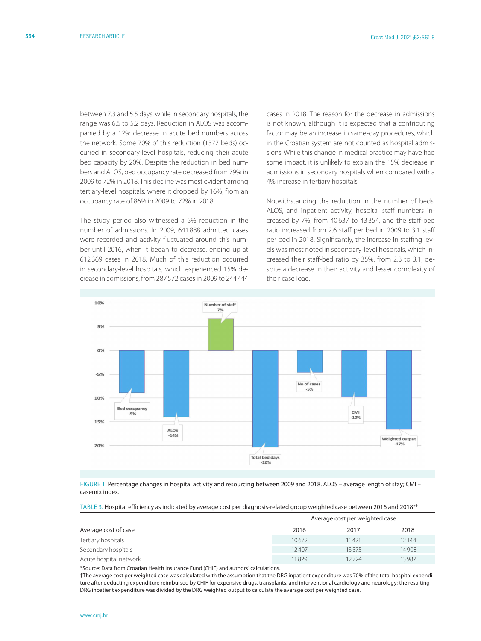between 7.3 and 5.5 days, while in secondary hospitals, the range was 6.6 to 5.2 days. Reduction in ALOS was accompanied by a 12% decrease in acute bed numbers across the network. Some 70% of this reduction (1377 beds) occurred in secondary-level hospitals, reducing their acute bed capacity by 20%. Despite the reduction in bed numbers and ALOS, bed occupancy rate decreased from 79% in 2009 to 72% in 2018. This decline was most evident among tertiary-level hospitals, where it dropped by 16%, from an occupancy rate of 86% in 2009 to 72% in 2018.

The study period also witnessed a 5% reduction in the number of admissions. In 2009, 641 888 admitted cases were recorded and activity fluctuated around this number until 2016, when it began to decrease, ending up at 612 369 cases in 2018. Much of this reduction occurred in secondary-level hospitals, which experienced 15% decrease in admissions, from 287 572 cases in 2009 to 244 444

cases in 2018. The reason for the decrease in admissions is not known, although it is expected that a contributing factor may be an increase in same-day procedures, which in the Croatian system are not counted as hospital admissions. While this change in medical practice may have had some impact, it is unlikely to explain the 15% decrease in admissions in secondary hospitals when compared with a 4% increase in tertiary hospitals.

Notwithstanding the reduction in the number of beds, ALOS, and inpatient activity, hospital staff numbers increased by 7%, from 40 637 to 43 354, and the staff-bed ratio increased from 2.6 staff per bed in 2009 to 3.1 staff per bed in 2018. Significantly, the increase in staffing levels was most noted in secondary-level hospitals, which increased their staff-bed ratio by 35%, from 2.3 to 3.1, despite a decrease in their activity and lesser complexity of their case load.



FIGURE 1. Percentage changes in hospital activity and resourcing between 2009 and 2018. ALOS – average length of stay; CMI – casemix index.

Table 3. Hospital efficiency as indicated by average cost per diagnosis-related group weighted case between 2016 and 2018\*†

|                        | Average cost per weighted case |       |       |  |  |
|------------------------|--------------------------------|-------|-------|--|--|
| Average cost of case   | 2016                           | 2017  | 2018  |  |  |
| Tertiary hospitals     | 10672                          | 11421 | 12144 |  |  |
| Secondary hospitals    | 12407                          | 13375 | 14908 |  |  |
| Acute hospital network | 11829                          | 12724 | 13987 |  |  |

\*Source: Data from Croatian Health Insurance Fund (CHIF) and authors' calculations.

†The average cost per weighted case was calculated with the assumption that the DRG inpatient expenditure was 70% of the total hospital expenditure after deducting expenditure reimbursed by CHIF for expensive drugs, transplants, and interventional cardiology and neurology; the resulting DRG inpatient expenditure was divided by the DRG weighted output to calculate the average cost per weighted case.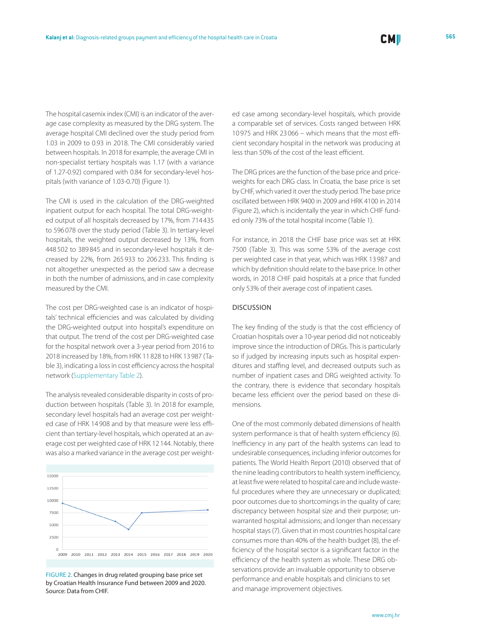The hospital casemix index (CMI) is an indicator of the average case complexity as measured by the DRG system. The average hospital CMI declined over the study period from 1.03 in 2009 to 0.93 in 2018. The CMI considerably varied between hospitals. In 2018 for example, the average CMI in non-specialist tertiary hospitals was 1.17 (with a variance of 1.27-0.92) compared with 0.84 for secondary-level hospitals (with variance of 1.03-0.70) (Figure 1).

The CMI is used in the calculation of the DRG-weighted inpatient output for each hospital. The total DRG-weighted output of all hospitals decreased by 17%, from 714435 to 596 078 over the study period (Table 3). In tertiary-level hospitals, the weighted output decreased by 13%, from 448 502 to 389 845 and in secondary-level hospitals it decreased by 22%, from 265 933 to 206 233. This finding is not altogether unexpected as the period saw a decrease in both the number of admissions, and in case complexity measured by the CMI.

The cost per DRG-weighted case is an indicator of hospitals' technical efficiencies and was calculated by dividing the DRG-weighted output into hospital's expenditure on that output. The trend of the cost per DRG-weighted case for the hospital network over a 3-year period from 2016 to 2018 increased by 18%, from HRK 11 828 to HRK 13 987 (Table 3), indicating a loss in cost efficiency across the hospital network ([Supplementary Table 2](http://neuron.mefst.hr/docs/CMJ/issues/2021/62/6/kalanj_Supplementary_Table_2.pdf)).

The analysis revealed considerable disparity in costs of production between hospitals (Table 3). In 2018 for example, secondary level hospitals had an average cost per weighted case of HRK 14 908 and by that measure were less efficient than tertiary-level hospitals, which operated at an average cost per weighted case of HRK 12 144. Notably, there was also a marked variance in the average cost per weight-



FIGURE 2. Changes in drug related grouping base price set by Croatian Health Insurance Fund between 2009 and 2020. Source: Data from CHIF.

ed case among secondary-level hospitals, which provide a comparable set of services. Costs ranged between HRK 10 975 and HRK 23 066 – which means that the most efficient secondary hospital in the network was producing at less than 50% of the cost of the least efficient.

The DRG prices are the function of the base price and priceweights for each DRG class. In Croatia, the base price is set by CHIF, which varied it over the study period. The base price oscillated between HRK 9400 in 2009 and HRK 4100 in 2014 (Figure 2), which is incidentally the year in which CHIF funded only 73% of the total hospital income (Table 1).

For instance, in 2018 the CHIF base price was set at HRK 7500 (Table 3). This was some 53% of the average cost per weighted case in that year, which was HRK 13 987 and which by definition should relate to the base price. In other words, in 2018 CHIF paid hospitals at a price that funded only 53% of their average cost of inpatient cases.

### DISCUSSION

The key finding of the study is that the cost efficiency of Croatian hospitals over a 10-year period did not noticeably improve since the introduction of DRGs. This is particularly so if judged by increasing inputs such as hospital expenditures and staffing level, and decreased outputs such as number of inpatient cases and DRG weighted activity. To the contrary, there is evidence that secondary hospitals became less efficient over the period based on these dimensions.

One of the most commonly debated dimensions of health system performance is that of health system efficiency (6). Inefficiency in any part of the health systems can lead to undesirable consequences, including inferior outcomes for patients. The World Health Report (2010) observed that of the nine leading contributors to health system inefficiency, at least five were related to hospital care and include wasteful procedures where they are unnecessary or duplicated; poor outcomes due to shortcomings in the quality of care; discrepancy between hospital size and their purpose; unwarranted hospital admissions; and longer than necessary hospital stays (7). Given that in most countries hospital care consumes more than 40% of the health budget (8), the efficiency of the hospital sector is a significant factor in the efficiency of the health system as whole. These DRG observations provide an invaluable opportunity to observe performance and enable hospitals and clinicians to set and manage improvement objectives.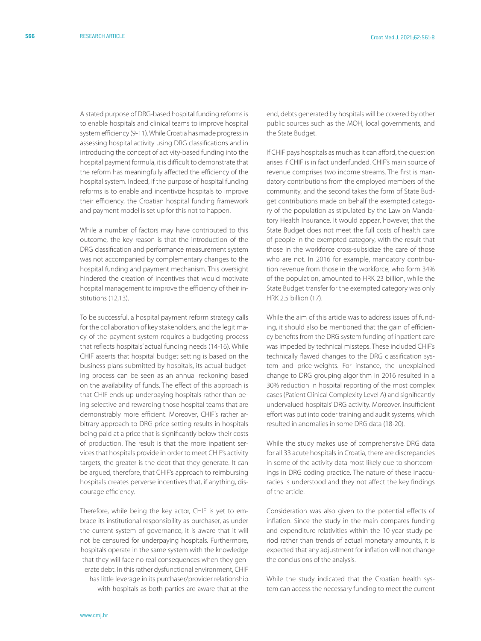A stated purpose of DRG-based hospital funding reforms is to enable hospitals and clinical teams to improve hospital system efficiency (9-11). While Croatia has made progress in assessing hospital activity using DRG classifications and in introducing the concept of activity-based funding into the hospital payment formula, it is difficult to demonstrate that the reform has meaningfully affected the efficiency of the hospital system. Indeed, if the purpose of hospital funding reforms is to enable and incentivize hospitals to improve their efficiency, the Croatian hospital funding framework and payment model is set up for this not to happen.

While a number of factors may have contributed to this outcome, the key reason is that the introduction of the DRG classification and performance measurement system was not accompanied by complementary changes to the hospital funding and payment mechanism. This oversight hindered the creation of incentives that would motivate hospital management to improve the efficiency of their institutions (12,13).

To be successful, a hospital payment reform strategy calls for the collaboration of key stakeholders, and the legitimacy of the payment system requires a budgeting process that reflects hospitals' actual funding needs (14-16). While CHIF asserts that hospital budget setting is based on the business plans submitted by hospitals, its actual budgeting process can be seen as an annual reckoning based on the availability of funds. The effect of this approach is that CHIF ends up underpaying hospitals rather than being selective and rewarding those hospital teams that are demonstrably more efficient. Moreover, CHIF's rather arbitrary approach to DRG price setting results in hospitals being paid at a price that is significantly below their costs of production. The result is that the more inpatient services that hospitals provide in order to meet CHIF's activity targets, the greater is the debt that they generate. It can be argued, therefore, that CHIF's approach to reimbursing hospitals creates perverse incentives that, if anything, discourage efficiency.

Therefore, while being the key actor, CHIF is yet to embrace its institutional responsibility as purchaser, as under the current system of governance, it is aware that it will not be censured for underpaying hospitals. Furthermore, hospitals operate in the same system with the knowledge that they will face no real consequences when they generate debt. In this rather dysfunctional environment, CHIF has little leverage in its purchaser/provider relationship with hospitals as both parties are aware that at the

end, debts generated by hospitals will be covered by other public sources such as the MOH, local governments, and the State Budget.

If CHIF pays hospitals as much as it can afford, the question arises if CHIF is in fact underfunded. CHIF's main source of revenue comprises two income streams. The first is mandatory contributions from the employed members of the community, and the second takes the form of State Budget contributions made on behalf the exempted category of the population as stipulated by the Law on Mandatory Health Insurance. It would appear, however, that the State Budget does not meet the full costs of health care of people in the exempted category, with the result that those in the workforce cross-subsidize the care of those who are not. In 2016 for example, mandatory contribution revenue from those in the workforce, who form 34% of the population, amounted to HRK 23 billion, while the State Budget transfer for the exempted category was only HRK 2.5 billion (17).

While the aim of this article was to address issues of funding, it should also be mentioned that the gain of efficiency benefits from the DRG system funding of inpatient care was impeded by technical missteps. These included CHIF's technically flawed changes to the DRG classification system and price-weights. For instance, the unexplained change to DRG grouping algorithm in 2016 resulted in a 30% reduction in hospital reporting of the most complex cases (Patient Clinical Complexity Level A) and significantly undervalued hospitals' DRG activity. Moreover, insufficient effort was put into coder training and audit systems, which resulted in anomalies in some DRG data (18-20).

While the study makes use of comprehensive DRG data for all 33 acute hospitals in Croatia, there are discrepancies in some of the activity data most likely due to shortcomings in DRG coding practice. The nature of these inaccuracies is understood and they not affect the key findings of the article.

Consideration was also given to the potential effects of inflation. Since the study in the main compares funding and expenditure relativities within the 10-year study period rather than trends of actual monetary amounts, it is expected that any adjustment for inflation will not change the conclusions of the analysis.

While the study indicated that the Croatian health system can access the necessary funding to meet the current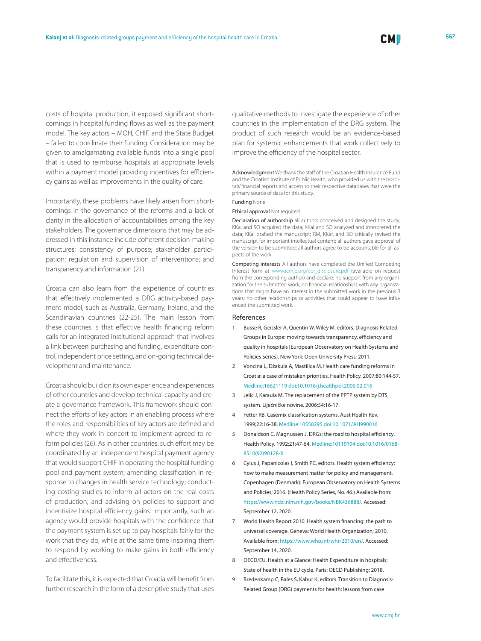costs of hospital production, it exposed significant shortcomings in hospital funding flows as well as the payment model. The key actors – MOH, CHIF, and the State Budget – failed to coordinate their funding. Consideration may be given to amalgamating available funds into a single pool that is used to reimburse hospitals at appropriate levels within a payment model providing incentives for efficiency gains as well as improvements in the quality of care.

Importantly, these problems have likely arisen from shortcomings in the governance of the reforms and a lack of clarity in the allocation of accountabilities among the key stakeholders. The governance dimensions that may be addressed in this instance include coherent decision-making structures; consistency of purpose; stakeholder participation; regulation and supervision of interventions; and transparency and information (21).

Croatia can also learn from the experience of countries that effectively implemented a DRG activity-based payment model, such as Australia, Germany, Ireland, and the Scandinavian countries (22-25). The main lesson from these countries is that effective health financing reform calls for an integrated institutional approach that involves a link between purchasing and funding, expenditure control, independent price setting, and on-going technical development and maintenance.

Croatia should build on its own experience and experiences of other countries and develop technical capacity and create a governance framework. This framework should connect the efforts of key actors in an enabling process where the roles and responsibilities of key actors are defined and where they work in concert to implement agreed to reform policies (26). As in other countries, such effort may be coordinated by an independent hospital payment agency that would support CHIF in operating the hospital funding pool and payment system; amending classification in response to changes in health service technology; conducting costing studies to inform all actors on the real costs of production; and advising on policies to support and incentivize hospital efficiency gains. Importantly, such an agency would provide hospitals with the confidence that the payment system is set up to pay hospitals fairly for the work that they do, while at the same time inspiring them to respond by working to make gains in both efficiency and effectiveness.

To facilitate this, it is expected that Croatia will benefit from further research in the form of a descriptive study that uses qualitative methods to investigate the experience of other countries in the implementation of the DRG system. The product of such research would be an evidence-based plan for systemic enhancements that work collectively to improve the efficiency of the hospital sector.

Acknowledgment We thank the staff of the Croatian Health Insurance Fund and the Croatian Institute of Public Health, who provided us with the hospitals' financial reports and access to their respective databases that were the primary source of data for this study.

Funding None.

Ethical approval Not required.

Declaration of authorship all authors conceived and designed the study; KKal and SO acquired the data; KKal and SO analyzed and interpreted the data; KKal drafted the manuscript; RM, KKar, and SO critically revised the manuscript for important intellectual content; all authors gave approval of the version to be submitted; all authors agree to be accountable for all aspects of the work.

Competing interests All authors have completed the Unified Competing Interest form at [www.icmje.org/coi\\_disclosure.pdf](www.icmje.org/coi_disclosure.pdf) (available on request from the corresponding author) and declare: no support from any organization for the submitted work; no financial relationships with any organizations that might have an interest in the submitted work in the previous 3 years; no other relationships or activities that could appear to have influenced the submitted work.

### References

- 1 Busse R, Geissler A, Quentin W, Wiley M, editors. Diagnosis Related Groups in Europe: moving towards transparency, efficiency and quality in hospitals [European Observatory on Health Systems and Policies Series]. New York: Open University Press; 2011.
- 2 Voncina L, Džakula A, Mastilica M. Health care funding reforms in Croatia: a case of mistaken priorities. Health Policy. 2007;80:144-57. [Medline:16621119](https://www.ncbi.nlm.nih.gov/entrez/query.fcgi?cmd=Retrieve&db=PubMed&list_uids=16621119&dopt=Abstract) [doi:10.1016/j.healthpol.2006.02.016](https://doi.org/10.1016/j.healthpol.2006.02.016)
- 3 Jelic J, Karaula M. The replacement of the PPTP system by DTS system. Liječničke novine. 2006;54:16-17.
- Fetter RB. Casemix classification systems. Aust Health Rev. 1999;22:16-38[. Medline:10558295](https://www.ncbi.nlm.nih.gov/entrez/query.fcgi?cmd=Retrieve&db=PubMed&list_uids=10558295&dopt=Abstract) [doi:10.1071/AH990016](https://doi.org/10.1071/AH990016)
- 5 Donaldson C, Magnussen J. DRGs: the road to hospital efficiency. Health Policy. 1992;21:47-64. [Medline:10119194](https://www.ncbi.nlm.nih.gov/entrez/query.fcgi?cmd=Retrieve&db=PubMed&list_uids=10119194&dopt=Abstract) [doi:10.1016/0168-](https://doi.org/10.1016/0168-8510(92)90128-X) [8510\(92\)90128-X](https://doi.org/10.1016/0168-8510(92)90128-X)
- Cylus J, Papanicolas I, Smith PC, editors. Health system efficiency: how to make measurement matter for policy and management. Copenhagen (Denmark): European Observatory on Health Systems and Policies; 2016. (Health Policy Series, No. 46.) Available from: [https://www.ncbi.nlm.nih.gov/books/NBK436888/.](https://www.ncbi.nlm.nih.gov/books/NBK436888/) Accessed: September 12, 2020.
- 7 World Health Report 2010. Health system financing: the path to universal coverage. Geneva: World Health Organization; 2010. Available from: [https://www.who.int/whr/2010/en/.](https://www.who.int/whr/2010/en/) Accessed: September 14, 2020.
- 8 OECD/EU. Health at a Glance: Health Expenditure in hospitals; State of health in the EU cycle. Paris: OECD Publishing; 2018.
- 9 Bredenkamp C, Bales S, Kahur K, editors. Transition to Diagnosis-Related Group (DRG) payments for health: lessons from case